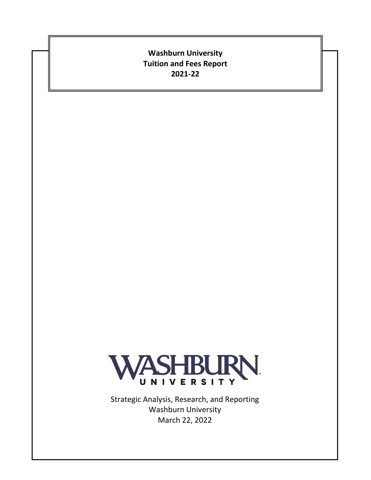## **Washburn University Tuition and Fees Report 2021-22**



Strategic Analysis, Research, and Reporting Washburn University March 22, 2022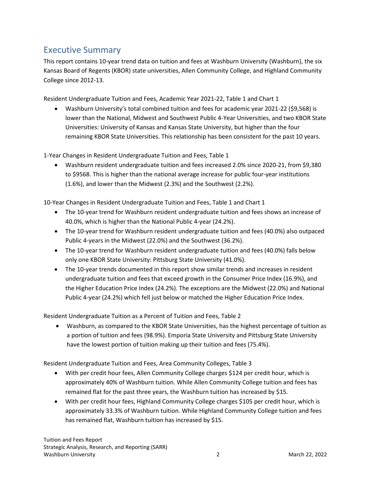## Executive Summary

This report contains 10-year trend data on tuition and fees at Washburn University (Washburn), the six Kansas Board of Regents (KBOR) state universities, Allen Community College, and Highland Community College since 2012-13.

Resident Undergraduate Tuition and Fees, Academic Year 2021-22, Table 1 and Chart 1

• Washburn University's total combined tuition and fees for academic year 2021-22 (\$9,568) is lower than the National, Midwest and Southwest Public 4-Year Universities, and two KBOR State Universities: University of Kansas and Kansas State University, but higher than the four remaining KBOR State Universities. This relationship has been consistent for the past 10 years.

1-Year Changes in Resident Undergraduate Tuition and Fees, Table 1

• Washburn resident undergraduate tuition and fees increased 2.0% since 2020-21, from \$9,380 to \$9568. This is higher than the national average increase for public four-year institutions (1.6%), and lower than the Midwest (2.3%) and the Southwest (2.2%).

10-Year Changes in Resident Undergraduate Tuition and Fees, Table 1 and Chart 1

- The 10-year trend for Washburn resident undergraduate tuition and fees shows an increase of 40.0%, which is higher than the National Public 4-year (24.2%).
- The 10-year trend for Washburn resident undergraduate tuition and fees (40.0%) also outpaced Public 4-years in the Midwest (22.0%) and the Southwest (36.2%).
- The 10-year trend for Washburn resident undergraduate tuition and fees (40.0%) falls below only one KBOR State University: Pittsburg State University (41.0%).
- The 10-year trends documented in this report show similar trends and increases in resident undergraduate tuition and fees that exceed growth in the Consumer Price Index (16.9%), and the Higher Education Price Index (24.2%). The exceptions are the Midwest (22.0%) and National Public 4-year (24.2%) which fell just below or matched the Higher Education Price Index.

Resident Undergraduate Tuition as a Percent of Tuition and Fees, Table 2

• Washburn, as compared to the KBOR State Universities, has the highest percentage of tuition as a portion of tuition and fees (98.9%). Emporia State University and Pittsburg State University have the lowest portion of tuition making up their tuition and fees (75.4%).

Resident Undergraduate Tuition and Fees, Area Community Colleges, Table 3

- With per credit hour fees, Allen Community College charges \$124 per credit hour, which is approximately 40% of Washburn tuition. While Allen Community College tuition and fees has remained flat for the past three years, the Washburn tuition has increased by \$15.
- With per credit hour fees, Highland Community College charges \$105 per credit hour, which is approximately 33.3% of Washburn tuition. While Highland Community College tuition and fees has remained flat, Washburn tuition has increased by \$15.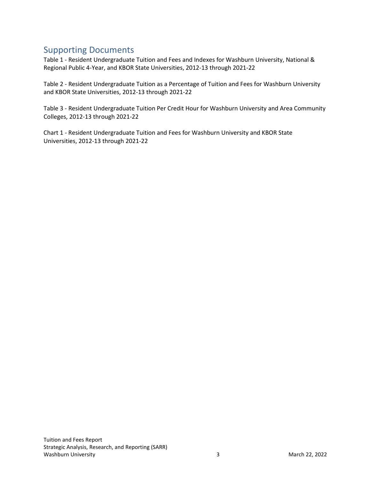## Supporting Documents

Table 1 - Resident Undergraduate Tuition and Fees and Indexes for Washburn University, National & Regional Public 4-Year, and KBOR State Universities, 2012-13 through 2021-22

Table 2 - Resident Undergraduate Tuition as a Percentage of Tuition and Fees for Washburn University and KBOR State Universities, 2012-13 through 2021-22

Table 3 - Resident Undergraduate Tuition Per Credit Hour for Washburn University and Area Community Colleges, 2012-13 through 2021-22

Chart 1 - Resident Undergraduate Tuition and Fees for Washburn University and KBOR State Universities, 2012-13 through 2021-22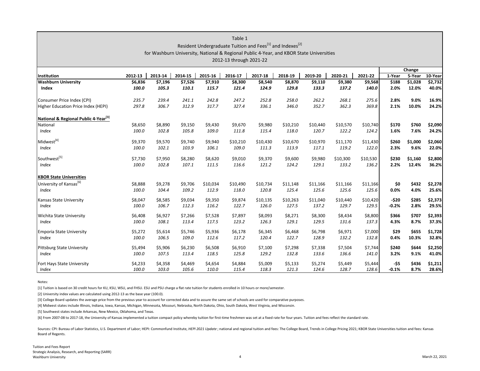|                                     |         |         |         |          | Table 1<br>Resident Undergraduate Tuition and Fees <sup>[1]</sup> and Indexes <sup>[2]</sup><br>for Washburn University, National & Regional Public 4-Year, and KBOR State Universities<br>2012-13 through 2021-22 |          |          |          |          |          |         |         |         |
|-------------------------------------|---------|---------|---------|----------|--------------------------------------------------------------------------------------------------------------------------------------------------------------------------------------------------------------------|----------|----------|----------|----------|----------|---------|---------|---------|
|                                     |         |         |         |          |                                                                                                                                                                                                                    |          |          |          |          |          |         |         |         |
| Institution                         | 2012-13 | 2013-14 | 2014-15 | 2015-16  | 2016-17                                                                                                                                                                                                            | 2017-18  | 2018-19  | 2019-20  | 2020-21  | 2021-22  | 1-Year  | 5-Year  | 10-Year |
| <b>Washburn University</b>          | \$6,836 | \$7,196 | \$7,526 | \$7,910  | \$8,300                                                                                                                                                                                                            | \$8,540  | \$8,870  | \$9,110  | \$9,380  | \$9,568  | \$188   | \$1,028 | \$2,732 |
| Index                               | 100.0   | 105.3   | 110.1   | 115.7    | 121.4                                                                                                                                                                                                              | 124.9    | 129.8    | 133.3    | 137.2    | 140.0    | 2.0%    | 12.0%   | 40.0%   |
| Consumer Price Index (CPI)          | 235.7   | 239.4   | 241.1   | 242.8    | 247.2                                                                                                                                                                                                              | 252.8    | 258.0    | 262.2    | 268.1    | 275.6    | 2.8%    | 9.0%    | 16.9%   |
| Higher Education Price Index (HEPI) | 297.8   | 306.7   | 312.9   | 317.7    | 327.4                                                                                                                                                                                                              | 336.1    | 346.0    | 352.7    | 362.3    | 369.8    | 2.1%    | 10.0%   | 24.2%   |
| National & Regional Public 4-Year 3 |         |         |         |          |                                                                                                                                                                                                                    |          |          |          |          |          |         |         |         |
| National                            | \$8,650 | \$8,890 | \$9,150 | \$9,430  | \$9,670                                                                                                                                                                                                            | \$9,980  | \$10,210 | \$10,440 | \$10,570 | \$10,740 | \$170   | \$760   | \$2,090 |
| Index                               | 100.0   | 102.8   | 105.8   | 109.0    | 111.8                                                                                                                                                                                                              | 115.4    | 118.0    | 120.7    | 122.2    | 124.2    | 1.6%    | 7.6%    | 24.2%   |
|                                     |         |         |         |          |                                                                                                                                                                                                                    |          |          |          |          |          |         |         |         |
| Midwest <sup>[4]</sup>              | \$9,370 | \$9,570 | \$9,740 | \$9,940  | \$10,210                                                                                                                                                                                                           | \$10,430 | \$10,670 | \$10,970 | \$11,170 | \$11,430 | \$260   | \$1,000 | \$2,060 |
| <b>Index</b>                        | 100.0   | 102.1   | 103.9   | 106.1    | 109.0                                                                                                                                                                                                              | 111.3    | 113.9    | 117.1    | 119.2    | 122.0    | 2.3%    | 9.6%    | 22.0%   |
| Southwest <sup>[5]</sup>            | \$7,730 | \$7,950 | \$8,280 | \$8,620  | \$9,010                                                                                                                                                                                                            | \$9,370  | \$9,600  | \$9,980  | \$10,300 | \$10,530 | \$230   | \$1,160 | \$2,800 |
| <b>Index</b>                        | 100.0   | 102.8   | 107.1   | 111.5    | 116.6                                                                                                                                                                                                              | 121.2    | 124.2    | 129.1    | 133.2    | 136.2    | 2.2%    | 12.4%   | 36.2%   |
| <b>KBOR State Universities</b>      |         |         |         |          |                                                                                                                                                                                                                    |          |          |          |          |          |         |         |         |
| University of Kansas <sup>[6]</sup> | \$8,888 | \$9,278 | \$9,706 | \$10,034 | \$10,490                                                                                                                                                                                                           | \$10,734 | \$11,148 | \$11,166 | \$11,166 | \$11,166 | \$0     | \$432   | \$2,278 |
| <b>Index</b>                        | 100.0   | 104.4   | 109.2   | 112.9    | 118.0                                                                                                                                                                                                              | 120.8    | 125.4    | 125.6    | 125.6    | 125.6    | 0.0%    | 4.0%    | 25.6%   |
|                                     |         |         |         |          |                                                                                                                                                                                                                    |          |          |          |          |          |         |         |         |
| Kansas State University             | \$8,047 | \$8,585 | \$9,034 | \$9,350  | \$9,874                                                                                                                                                                                                            | \$10,135 | \$10,263 | \$11,040 | \$10,440 | \$10,420 | $-520$  | \$285   | \$2,373 |
| <b>Index</b>                        | 100.0   | 106.7   | 112.3   | 116.2    | 122.7                                                                                                                                                                                                              | 126.0    | 127.5    | 137.2    | 129.7    | 129.5    | $-0.2%$ | 2.8%    | 29.5%   |
| <b>Wichita State University</b>     | \$6,408 | \$6,927 | \$7,266 | \$7,528  | \$7,897                                                                                                                                                                                                            | \$8,093  | \$8,271  | \$8,300  | \$8,434  | \$8,800  | \$366   | \$707   | \$2,393 |
| Index                               | 100.0   | 108.1   | 113.4   | 117.5    | 123.2                                                                                                                                                                                                              | 126.3    | 129.1    | 129.5    | 131.6    | 137.3    | 4.3%    | 8.7%    | 37.3%   |
| <b>Emporia State University</b>     | \$5,272 | \$5,614 | \$5,746 | \$5,936  | \$6,178                                                                                                                                                                                                            | \$6,345  | \$6,468  | \$6,798  | \$6,971  | \$7,000  | \$29    | \$655   | \$1,728 |
| <b>Index</b>                        | 100.0   | 106.5   | 109.0   | 112.6    | 117.2                                                                                                                                                                                                              | 120.4    | 122.7    | 128.9    | 132.2    | 132.8    | 0.4%    | 10.3%   | 32.8%   |
|                                     |         |         |         |          |                                                                                                                                                                                                                    |          |          |          |          |          |         |         |         |
| <b>Pittsburg State University</b>   | \$5,494 | \$5,906 | \$6,230 | \$6,508  | \$6,910                                                                                                                                                                                                            | \$7,100  | \$7,298  | \$7,338  | \$7,504  | \$7,744  | \$240   | \$644   | \$2,250 |
| Index                               | 100.0   | 107.5   | 113.4   | 118.5    | 125.8                                                                                                                                                                                                              | 129.2    | 132.8    | 133.6    | 136.6    | 141.0    | 3.2%    | 9.1%    | 41.0%   |
| Fort Hays State University          | \$4,233 | \$4,358 | \$4,469 | \$4,654  | \$4,884                                                                                                                                                                                                            | \$5,009  | \$5,133  | \$5,274  | \$5,449  | \$5,444  | $-55$   | \$436   | \$1,211 |
| Index                               | 100.0   | 103.0   | 105.6   | 110.0    | 115.4                                                                                                                                                                                                              | 118.3    | 121.3    | 124.6    | 128.7    | 128.6    | $-0.1%$ | 8.7%    | 28.6%   |

Notes:

[1] Tuition is based on 30 credit hours for KU, KSU, WSU, and FHSU. ESU and PSU charge <sup>a</sup> flat rate tuition for students enrolled in 10 hours or more/semester.

[2] University index values are calculated using 2012-13 as the base year (100.0).

[3] College Board updates the average price from the previous year to account for corrected data and to assure the same set of schools are used for comparative purposes.

[4] Midwest states include Illinois, Indiana, Iowa, Kansas, Michigan, Minnesota, Missouri, Nebraska, North Dakota, Ohio, South Dakota, West Virginia, and Wisconsin.

[5] Southwest states include Arkansas, New Mexico, Oklahoma, and Texas.

[6] From 2007‐08 to 2017‐18, the University of Kansas implemented a tuition compact policy whereby tuition for first‐time freshmen was set at a fixed rate for four years. Tuition and fees reflect the standard rate.

Sources: CPI: Bureau of Labor Statistics, U.S. Department of Labor; HEPI: Commonfund Institute, HEPI 2021 Update ; national and regional tuition and fees: The College Board, Trends in College Pricing 2021; KBOR State Unive Board of Regents.

Tuition and Fees Report Strategic Analysis, Research, and Reporting (SARR) **Washburn University** University <sup>4</sup> March 22, <sup>2021</sup>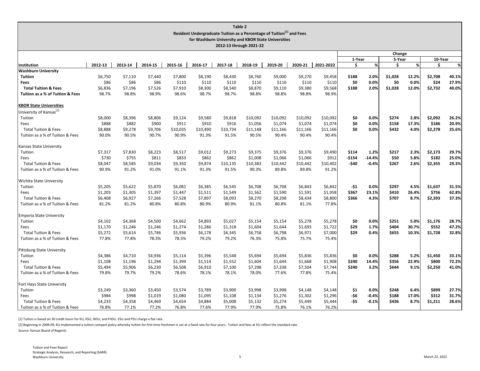|                                                     |         |         |         |          |          |          | Table 2                                                                           |          |          |                  |         |                  |         |       |         |       |
|-----------------------------------------------------|---------|---------|---------|----------|----------|----------|-----------------------------------------------------------------------------------|----------|----------|------------------|---------|------------------|---------|-------|---------|-------|
|                                                     |         |         |         |          |          |          | Resident Undergraduate Tuition as a Percentage of Tuition <sup>[1]</sup> and Fees |          |          |                  |         |                  |         |       |         |       |
| for Washburn University and KBOR State Universities |         |         |         |          |          |          |                                                                                   |          |          |                  |         |                  |         |       |         |       |
| 2012-13 through 2021-22                             |         |         |         |          |          |          |                                                                                   |          |          |                  |         |                  |         |       |         |       |
|                                                     |         |         |         |          |          |          |                                                                                   |          |          | Change           |         |                  |         |       |         |       |
|                                                     |         |         |         |          |          |          |                                                                                   |          |          |                  |         | 1-Year<br>5-Year |         |       | 10-Year |       |
| Institution                                         | 2012-13 | 2013-14 | 2014-15 | 2015-16  | 2016-17  | 2017-18  | 2018-19                                                                           | 2019-20  | 2020-21  | 2021-2022        | Ŝ.      | $\%$             | \$.     | %     | Ŝ.      | $\%$  |
| Washburn University                                 | \$6,750 | \$7,110 | \$7,440 | \$7,800  | \$8,190  | \$8,430  | \$8,760                                                                           | \$9,000  | \$9,270  |                  | \$188   | 2.0%             | \$1,028 | 12.2% | \$2,708 | 40.1% |
| <b>Tuition</b><br>Fees                              | \$86    | \$86    | \$86    | \$110    | \$110    | \$110    | \$110                                                                             | \$110    | \$110    | \$9,458<br>\$110 | \$0     | 0.0%             | \$0     | 0.0%  | \$24    | 27.9% |
| <b>Total Tuition &amp; Fees</b>                     | \$6,836 | \$7,196 | \$7,526 | \$7,910  | \$8,300  | \$8,540  | \$8,870                                                                           | \$9,110  | \$9,380  | \$9,568          | \$188   | 2.0%             | \$1,028 | 12.0% | \$2,732 | 40.0% |
| Tuition as a % of Tuition & Fees                    | 98.7%   | 98.8%   | 98.9%   | 98.6%    | 98.7%    | 98.7%    | 98.8%                                                                             | 98.8%    | 98.8%    | 98.9%            |         |                  |         |       |         |       |
|                                                     |         |         |         |          |          |          |                                                                                   |          |          |                  |         |                  |         |       |         |       |
| <b>KBOR State Universities</b>                      |         |         |         |          |          |          |                                                                                   |          |          |                  |         |                  |         |       |         |       |
| University of Kansas <sup>[2]</sup>                 |         |         |         |          |          |          |                                                                                   |          |          |                  |         |                  |         |       |         |       |
| Tuition                                             | \$8,000 | \$8,396 | \$8,806 | \$9,124  | \$9,580  | \$9,818  | \$10,092                                                                          | \$10,092 | \$10,092 | \$10,092         | \$0     | 0.0%             | \$274   | 2.8%  | \$2,092 | 26.2% |
| Fees                                                | \$888   | \$882   | \$900   | \$911    | \$910    | \$916    | \$1,056                                                                           | \$1,074  | \$1,074  | \$1,074          | \$0     | 0.0%             | \$158   | 17.3% | \$186   | 20.9% |
| <b>Total Tuition &amp; Fees</b>                     | \$8,888 | \$9,278 | \$9,706 | \$10,035 | \$10,490 | \$10,734 | \$11,148                                                                          | \$11,166 | \$11,166 | \$11,166         | \$0     | 0.0%             | \$432   | 4.0%  | \$2,278 | 25.6% |
| Tuition as a % of Tuition & Fees                    | 90.0%   | 90.5%   | 90.7%   | 90.9%    | 91.3%    | 91.5%    | 90.5%                                                                             | 90.4%    | 90.4%    | 90.4%            |         |                  |         |       |         |       |
| Kansas State University                             |         |         |         |          |          |          |                                                                                   |          |          |                  |         |                  |         |       |         |       |
| Tuition                                             | \$7,317 | \$7,830 | \$8,223 | \$8,517  | \$9,012  | \$9,273  | \$9,375                                                                           | \$9,376  | \$9,376  | \$9,490          | \$114   | 1.2%             | \$217   | 2.3%  | \$2,173 | 29.7% |
| Fees                                                | \$730   | \$755   | \$811   | \$833    | \$862    | \$862    | \$1,008                                                                           | \$1,066  | \$1,066  | \$912            | $-$154$ | $-14.4%$         | \$50    | 5.8%  | \$182   | 25.0% |
| <b>Total Tuition &amp; Fees</b>                     | \$8,047 | \$8,585 | \$9,034 | \$9,350  | \$9,874  | \$10,135 | \$10,383                                                                          | \$10,442 | \$10,442 | \$10,402         | -\$40   | $-0.4%$          | \$267   | 2.6%  | \$2,355 | 29.3% |
| Tuition as a % of Tuition & Fees                    | 90.9%   | 91.2%   | 91.0%   | 91.1%    | 91.3%    | 91.5%    | 90.3%                                                                             | 89.8%    | 89.8%    | 91.2%            |         |                  |         |       |         |       |
| Wichita State University                            |         |         |         |          |          |          |                                                                                   |          |          |                  |         |                  |         |       |         |       |
| Tuition                                             | \$5,205 | \$5,622 | \$5,870 | \$6,081  | \$6,385  | \$6,545  | \$6,708                                                                           | \$6,708  | \$6,843  | \$6,842          | $-51$   | 0.0%             | \$297   | 4.5%  | \$1,637 | 31.5% |
| Fees                                                | \$1,203 | \$1,305 | \$1,397 | \$1,447  | \$1,511  | \$1,549  | \$1,562                                                                           | \$1,590  | \$1,591  | \$1,958          | \$367   | 23.1%            | \$410   | 26.4% | \$756   | 62.8% |
| <b>Total Tuition &amp; Fees</b>                     | \$6,408 | \$6,927 | \$7,266 | \$7,528  | \$7,897  | \$8,093  | \$8,270                                                                           | \$8,298  | \$8,434  | \$8,800          | \$366   | 4.3%             | \$707   | 8.7%  | \$2,393 | 37.3% |
| Tuition as a % of Tuition & Fees                    | 81.2%   | 81.2%   | 80.8%   | 80.8%    | 80.9%    | 80.9%    | 81.1%                                                                             | 80.8%    | 81.1%    | 77.8%            |         |                  |         |       |         |       |
| <b>Emporia State University</b>                     |         |         |         |          |          |          |                                                                                   |          |          |                  |         |                  |         |       |         |       |
| Tuition                                             | \$4,102 | \$4.368 | \$4,500 | \$4,662  | \$4,893  | \$5,027  | \$5,154                                                                           | \$5,154  | \$5,278  | \$5,278          | \$0     | 0.0%             | \$251   | 5.0%  | \$1,176 | 28.7% |
| Fees                                                | \$1,170 | \$1,246 | \$1,246 | \$1,274  | \$1,286  | \$1,318  | \$1,604                                                                           | \$1,644  | \$1,693  | \$1,722          | \$29    | 1.7%             | \$404   | 30.7% | \$552   | 47.2% |
| <b>Total Tuition &amp; Fees</b>                     | \$5,272 | \$5,614 | \$5,746 | \$5,936  | \$6,178  | \$6,345  | \$6,758                                                                           | \$6,798  | \$6,971  | \$7,000          | \$29    | 0.4%             | \$655   | 10.3% | \$1,728 | 32.8% |
| Tuition as a % of Tuition & Fees                    | 77.8%   | 77.8%   | 78.3%   | 78.5%    | 79.2%    | 79.2%    | 76.3%                                                                             | 75.8%    | 75.7%    | 75.4%            |         |                  |         |       |         |       |
| <b>Pittsburg State University</b>                   |         |         |         |          |          |          |                                                                                   |          |          |                  |         |                  |         |       |         |       |
| Tuition                                             | \$4,386 | \$4,710 | \$4,936 | \$5,114  | \$5,396  | \$5,548  | \$5,694                                                                           | \$5,694  | \$5,836  | \$5,836          | \$0     | 0.0%             | \$288   | 5.2%  | \$1,450 | 33.1% |
| Fees                                                | \$1,108 | \$1,196 | \$1,294 | \$1,394  | \$1,514  | \$1,552  | \$1,604                                                                           | \$1,644  | \$1,668  | \$1,908          | \$240   | 14.4%            | \$356   | 22.9% | \$800   | 72.2% |
| <b>Total Tuition &amp; Fees</b>                     | \$5,494 | \$5,906 | \$6,230 | \$6,508  | \$6,910  | \$7,100  | \$7,298                                                                           | \$7,338  | \$7,504  | \$7,744          | \$240   | 3.2%             | \$644   | 9.1%  | \$2,250 | 41.0% |
| Tuition as a % of Tuition & Fees                    | 79.8%   | 79.7%   | 79.2%   | 78.6%    | 78.1%    | 78.1%    | 78.0%                                                                             | 77.6%    | 77.8%    | 75.4%            |         |                  |         |       |         |       |
| Fort Hays State University                          |         |         |         |          |          |          |                                                                                   |          |          |                  |         |                  |         |       |         |       |
| Tuition                                             | \$3,249 | \$3,360 | \$3,450 | \$3,574  | \$3,789  | \$3,900  | \$3,998                                                                           | \$3,998  | \$4,148  | \$4,148          | \$1     | 0.0%             | \$248   | 6.4%  | \$899   | 27.7% |
| Fees                                                | \$984   | \$998   | \$1,019 | \$1,080  | \$1,095  | \$1,108  | \$1,134                                                                           | \$1,276  | \$1,302  | \$1,296          | -\$6    | $-0.4%$          | \$188   | 17.0% | \$312   | 31.7% |
| <b>Total Tuition &amp; Fees</b>                     | \$4,233 | \$4,358 | \$4,469 | \$4,654  | \$4,884  | \$5,008  | \$5,132                                                                           | \$5,274  | \$5,449  | \$5,444          | -\$5    | $-0.1%$          | \$436   | 8.7%  | \$1,211 | 28.6% |
| Tuition as a % of Tuition & Fees                    | 76.8%   | 77.1%   | 77.2%   | 76.8%    | 77.6%    | 77.9%    | 77.9%                                                                             | 75.8%    | 76.1%    | 76.2%            |         |                  |         |       |         |       |

[1] Tuition is based on 30 credit hours for KU, KSU, WSU, and FHSU. ESU and PSU charge a flat rate.

[2] Beginning in 2008‐09, KU implemented a tuition compact policy whereby tuition for first‐time freshmen is set at a fixed rate for four years. Tuition and fees at KU reflect the standard rate.

Source: Kansas Board of Regents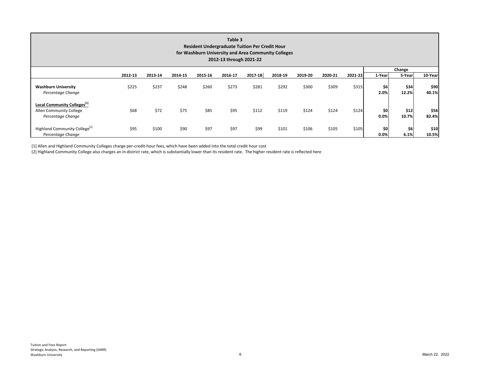| Table 3<br><b>Resident Undergraduate Tuition Per Credit Hour</b><br>for Washburn University and Area Community Colleges<br>2012-13 through 2021-22 |         |         |         |         |         |         |         |         |         |         |             |               |               |  |  |
|----------------------------------------------------------------------------------------------------------------------------------------------------|---------|---------|---------|---------|---------|---------|---------|---------|---------|---------|-------------|---------------|---------------|--|--|
|                                                                                                                                                    |         |         |         |         |         |         |         |         |         |         |             | Change        |               |  |  |
|                                                                                                                                                    | 2012-13 | 2013-14 | 2014-15 | 2015-16 | 2016-17 | 2017-18 | 2018-19 | 2019-20 | 2020-21 | 2021-22 | 1-Year      | 5-Year        | 10-Year       |  |  |
| <b>Washburn University</b><br>Percentage Change                                                                                                    | \$225   | \$237   | \$248   | \$260   | \$273   | \$281   | \$292   | \$300   | \$309   | \$315   | \$6<br>2.0% | \$34<br>12.2% | \$90<br>40.1% |  |  |
| Local Community Colleges <sup>[1]</sup><br>Allen Community College<br>Percentage Change                                                            | \$68    | \$72    | \$75    | \$85    | \$95    | \$112   | \$119   | \$124   | \$124   | \$124   | \$0<br>0.0% | \$12<br>10.7% | \$56<br>82.4% |  |  |
| Highland Community College <sup>[2]</sup><br>Percentage Change                                                                                     | \$95    | \$100   | \$90    | \$97    | \$97    | \$99    | \$101   | \$106   | \$105   | \$105   | \$0<br>0.0% | \$6<br>6.1%   | \$10<br>10.5% |  |  |

[1] Allen and Highland Community Colleges charge per‐credit‐hour fees, which have been added into the total credit hour cost

[2] Highland Community College also charges an in-district rate, which is substantially lower than its resident rate. The higher resident rate is reflected here